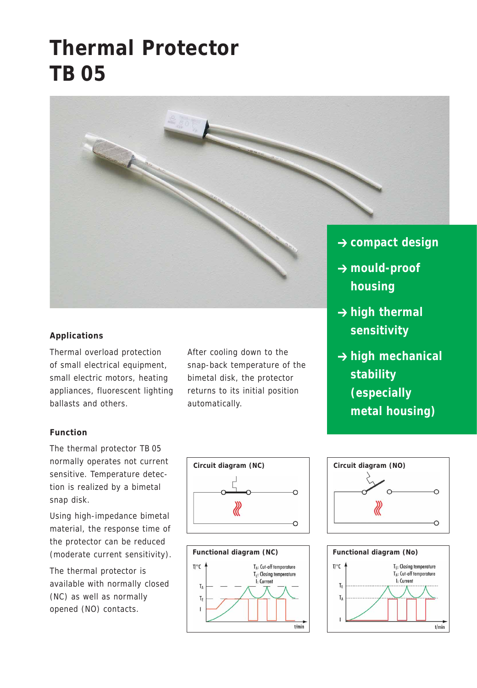# **Thermal Protector TB 05**



### **Applications**

Thermal overload protection of small electrical equipment, small electric motors, heating appliances, fluorescent lighting ballasts and others.

#### **Function**

The thermal protector TB 05 normally operates not current sensitive. Temperature detection is realized by a bimetal snap disk.

Using high-impedance bimetal material, the response time of the protector can be reduced (moderate current sensitivity).

The thermal protector is available with normally closed (NC) as well as normally opened (NO) contacts.

After cooling down to the snap-back temperature of the bimetal disk, the protector returns to its initial position automatically.

- 
- $→$  **high thermal sensitivity**
- **→ high mechanical stability (especially metal housing)**